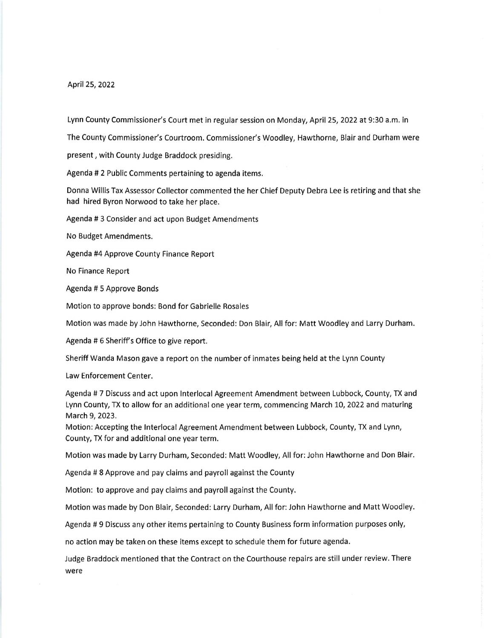April25,2022

Lynn County Commissioner's Court met in regular session on Monday, April 25, 2022 at 9:30 a.m. in

The County Commissioner's Courtroom. Commissioner's Woodley, Hawthorne, Blair and Durham were

present, with County Judge Braddock presiding.

Agenda # 2 Public Comments pertaining to agenda items.

Donna Willis Tax Assessor Collector commented the her Chief Deputy Debra Lee is retiring and that she had hired Byron Norwood to take her place.

Agenda # 3 Consider and act upon Budget Amendments

No Budget Amendments.

Agenda #4 Approve County Finance Report

No Finance Report

Agenda #5 Approve Bonds

Motion to approve bonds: Bond for Gabrielle Rosales

Motion was made by John Hawthorne, Seconded: Don Blair, All for: Matt Woodley and Larry Durham.

Agenda # 6 Sheriff's Office to give report.

Sheriff Wanda Mason gave a report on the number of inmates being held at the Lynn County

Law Enforcement Center.

Agenda # 7 Discuss and act upon lnterlocal Agreement Amendment between Lubbock, County, TX and Lynn County, TX to allow for an additional one year term, commencing March 10, 2022 and maturing March 9,2023.

Motion: Accepting the lnterlocal Agreement Amendment between Lubbock, County, TX and Lynn, County, TX for and additional one year term.

Motion was made by Larry Durham, Seconded: Mati Woodley, All for:John Hawthorne and Don Blair.

Agenda # 8 Approve and pay claims and payroll against the County

Motion: to approve and pay claims and payroll against the County.

Motion was made by Don Blair, Seconded: Larry Durham, All for: John Hawthorne and Matt Woodley.

Agenda # 9 Discuss any other items pertaining to County Business form information purposes only,

no action may be taken on these items except to schedule them for future agenda.

Judge Braddock mentioned that the Contract on the Courthouse repairs are still under review. There were